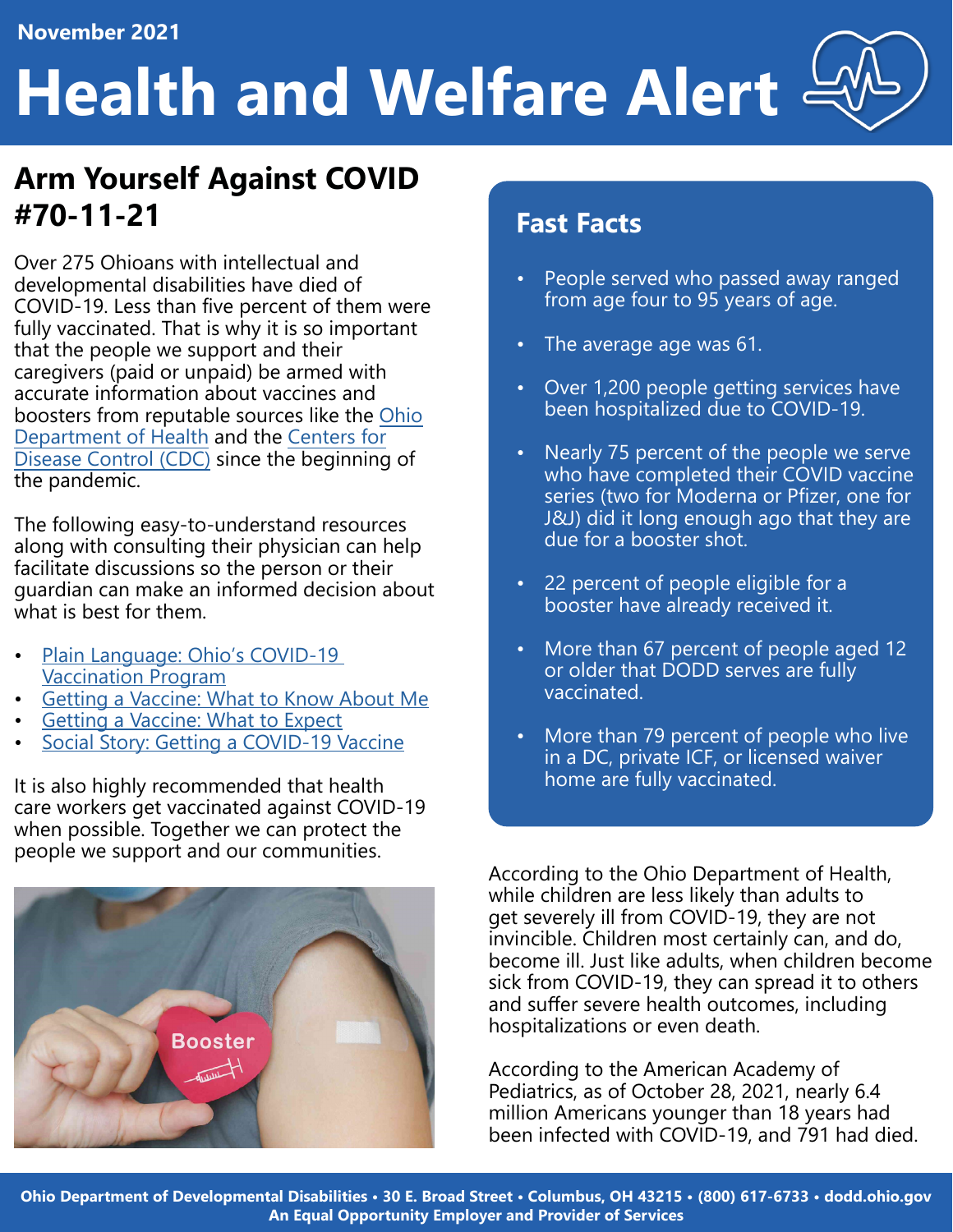## **Health and Welfare Alert**

#### **Arm Yourself Against COVID #70-11-21**

Over 275 Ohioans with intellectual and developmental disabilities have died of COVID-19. Less than five percent of them were fully vaccinated. That is why it is so important that the people we support and their caregivers (paid or unpaid) be armed with accurate information about vaccines and boosters from reputable sources like the [Ohio](https://coronavirus.ohio.gov/wps/portal/gov/covid-19/home)  [Department of Health](https://coronavirus.ohio.gov/wps/portal/gov/covid-19/home) and the [Centers for](https://www.cdc.gov/coronavirus/2019-ncov/index.html)  [Disease Control \(CDC\)](https://www.cdc.gov/coronavirus/2019-ncov/index.html) since the beginning of the pandemic.

The following easy-to-understand resources along with consulting their physician can help facilitate discussions so the person or their guardian can make an informed decision about what is best for them.

- [Plain Language: Ohio's COVID-19](https://dodd.ohio.gov/wps/portal/gov/dodd/about-us/covid_19_guidance/all-resources/plain+language) [Vaccination Program](https://dodd.ohio.gov/wps/portal/gov/dodd/about-us/covid_19_guidance/all-resources/plain+language)
- [Getting a Vaccine: What to Know About Me](https://dodd.ohio.gov/wps/portal/gov/dodd/about-us/covid_19_guidance/all-resources/about-me)
- [Getting a Vaccine: What to Expect](https://dodd.ohio.gov/wps/portal/gov/dodd/about-us/covid_19_guidance/all-resources/expect)
- [Social Story: Getting a COVID-19 Vaccine](https://dodd.ohio.gov/wps/portal/gov/dodd/about-us/covid_19_guidance/all-resources/social-story)

It is also highly recommended that health care workers get vaccinated against COVID-19 when possible. Together we can protect the people we support and our communities.

# **Booster**

#### **Fast Facts**

- People served who passed away ranged from age four to 95 years of age.
- The average age was 61.
- Over 1,200 people getting services have been hospitalized due to COVID-19.
- Nearly 75 percent of the people we serve who have completed their COVID vaccine series (two for Moderna or Pfizer, one for J&J) did it long enough ago that they are due for a booster shot.
- 22 percent of people eligible for a booster have already received it.
- More than 67 percent of people aged 12 or older that DODD serves are fully vaccinated.
- More than 79 percent of people who live in a DC, private ICF, or licensed waiver home are fully vaccinated.

According to the Ohio Department of Health, while children are less likely than adults to get severely ill from COVID-19, they are not invincible. Children most certainly can, and do, become ill. Just like adults, when children become sick from COVID-19, they can spread it to others and suffer severe health outcomes, including hospitalizations or even death.

According to the American Academy of Pediatrics, as of October 28, 2021, nearly 6.4 million Americans younger than 18 years had been infected with COVID-19, and 791 had died.

**[Ohio Department of Developmental Disabilities • 30 E. Broad Street • Columbus, OH 43215 • \(800\) 617-6733 • dodd.ohio.gov](http://dodd.ohio.gov/Communications/Lists/Categories/Category.aspx?CategoryId=13) An Equal Opportunity Employer and Provider of Services**